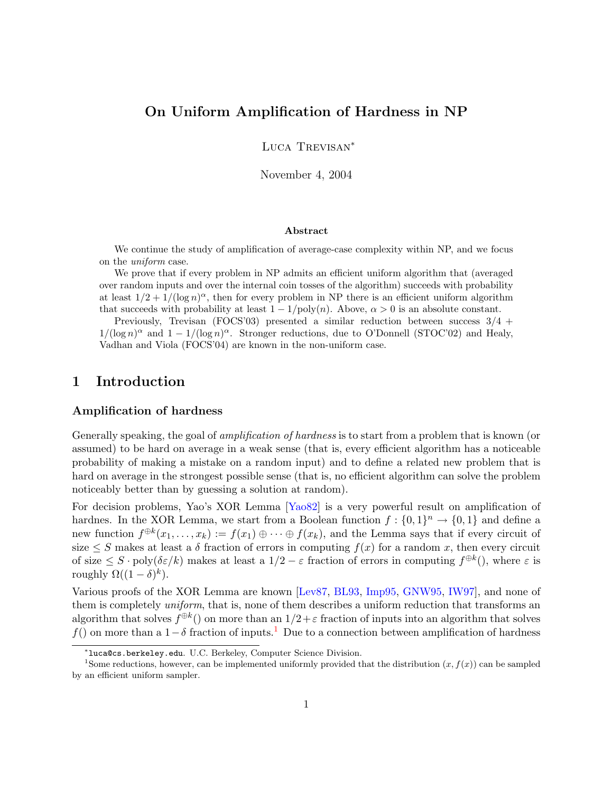# <span id="page-0-1"></span>On Uniform Amplification of Hardness in NP

Luca Trevisan<sup>∗</sup>

November 4, 2004

#### Abstract

We continue the study of amplification of average-case complexity within NP, and we focus on the uniform case.

We prove that if every problem in NP admits an efficient uniform algorithm that (averaged over random inputs and over the internal coin tosses of the algorithm) succeeds with probability at least  $1/2 + 1/(\log n)^{\alpha}$ , then for every problem in NP there is an efficient uniform algorithm that succeeds with probability at least  $1 - 1/\text{poly}(n)$ . Above,  $\alpha > 0$  is an absolute constant.

Previously, Trevisan (FOCS'03) presented a similar reduction between success  $3/4$  +  $1/(\log n)^{\alpha}$  and  $1 - 1/(\log n)^{\alpha}$ . Stronger reductions, due to O'Donnell (STOC'02) and Healy, Vadhan and Viola (FOCS'04) are known in the non-uniform case.

## 1 Introduction

### Amplification of hardness

Generally speaking, the goal of *amplification of hardness* is to start from a problem that is known (or assumed) to be hard on average in a weak sense (that is, every efficient algorithm has a noticeable probability of making a mistake on a random input) and to define a related new problem that is hard on average in the strongest possible sense (that is, no efficient algorithm can solve the problem noticeably better than by guessing a solution at random).

For decision problems, Yao's XOR Lemma [\[Yao82\]](#page-11-0) is a very powerful result on amplification of hardnes. In the XOR Lemma, we start from a Boolean function  $f: \{0,1\}^n \to \{0,1\}$  and define a new function  $f^{\oplus k}(x_1,\ldots,x_k) := f(x_1) \oplus \cdots \oplus f(x_k)$ , and the Lemma says that if every circuit of size  $\leq S$  makes at least a  $\delta$  fraction of errors in computing  $f(x)$  for a random x, then every circuit of size  $\leq S \cdot \text{poly}(\delta \varepsilon / k)$  makes at least a  $1/2 - \varepsilon$  fraction of errors in computing  $f^{\oplus k}$ (), where  $\varepsilon$  is roughly  $\Omega((1-\delta)^k)$ .

Various proofs of the XOR Lemma are known [\[Lev87,](#page-11-1) [BL93,](#page-10-0) [Imp95,](#page-11-2) [GNW95,](#page-10-1) [IW97\]](#page-11-3), and none of them is completely *uniform*, that is, none of them describes a uniform reduction that transforms an algorithm that solves  $f^{\oplus k}()$  on more than an  $1/2 + \varepsilon$  fraction of inputs into an algorithm that solves f() on more than a  $1-\delta$  $1-\delta$  fraction of inputs.<sup>1</sup> Due to a connection between amplification of hardness

<span id="page-0-0"></span><sup>∗</sup> luca@cs.berkeley.edu. U.C. Berkeley, Computer Science Division.

<sup>&</sup>lt;sup>1</sup>Some reductions, however, can be implemented uniformly provided that the distribution  $(x, f(x))$  can be sampled by an efficient uniform sampler.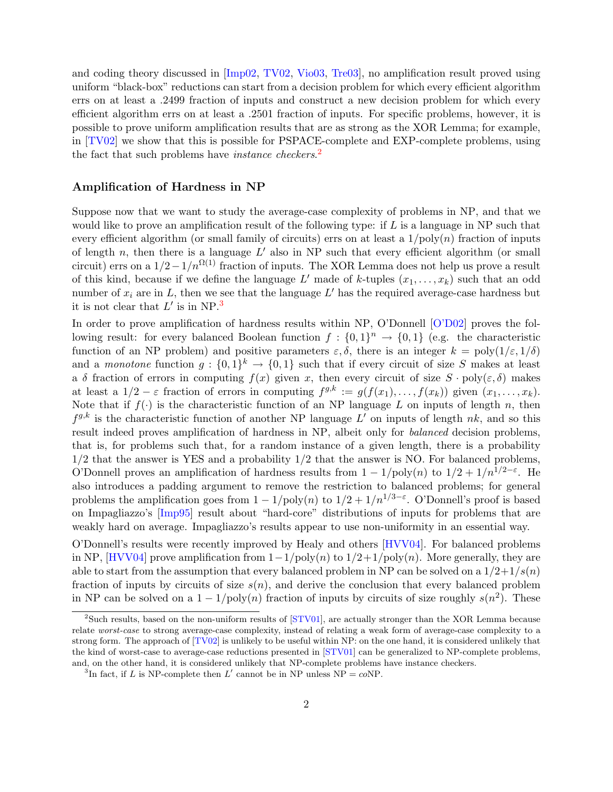<span id="page-1-2"></span>and coding theory discussed in [\[Imp02,](#page-11-4) [TV02,](#page-11-5) [Vio03,](#page-11-6) [Tre03\]](#page-11-7), no amplification result proved using uniform "black-box" reductions can start from a decision problem for which every efficient algorithm errs on at least a .2499 fraction of inputs and construct a new decision problem for which every efficient algorithm errs on at least a .2501 fraction of inputs. For specific problems, however, it is possible to prove uniform amplification results that are as strong as the XOR Lemma; for example, in [\[TV02\]](#page-11-5) we show that this is possible for PSPACE-complete and EXP-complete problems, using the fact that such problems have *instance checkers*.<sup>[2](#page-1-0)</sup>

#### Amplification of Hardness in NP

Suppose now that we want to study the average-case complexity of problems in NP, and that we would like to prove an amplification result of the following type: if L is a language in NP such that every efficient algorithm (or small family of circuits) errs on at least a  $1/\text{poly}(n)$  fraction of inputs of length n, then there is a language  $L'$  also in NP such that every efficient algorithm (or small circuit) errs on a  $1/2-1/n^{\Omega(1)}$  fraction of inputs. The XOR Lemma does not help us prove a result of this kind, because if we define the language L' made of k-tuples  $(x_1, \ldots, x_k)$  such that an odd number of  $x_i$  are in L, then we see that the language L' has the required average-case hardness but it is not clear that  $L'$  is in NP.<sup>[3](#page-1-1)</sup>

In order to prove amplification of hardness results within NP, O'Donnell [\[O'D02\]](#page-11-8) proves the following result: for every balanced Boolean function  $f: \{0,1\}^n \to \{0,1\}$  (e.g. the characteristic function of an NP problem) and positive parameters  $\varepsilon, \delta$ , there is an integer  $k = \text{poly}(1/\varepsilon, 1/\delta)$ and a monotone function  $g: \{0,1\}^k \to \{0,1\}$  such that if every circuit of size S makes at least a δ fraction of errors in computing  $f(x)$  given x, then every circuit of size  $S \cdot \text{poly}(\varepsilon, \delta)$  makes at least a  $1/2 - \varepsilon$  fraction of errors in computing  $f^{g,k} := g(f(x_1), \ldots, f(x_k))$  given  $(x_1, \ldots, x_k)$ . Note that if  $f(\cdot)$  is the characteristic function of an NP language L on inputs of length n, then  $f^{g,k}$  is the characteristic function of another NP language L' on inputs of length nk, and so this result indeed proves amplification of hardness in NP, albeit only for balanced decision problems, that is, for problems such that, for a random instance of a given length, there is a probability  $1/2$  that the answer is YES and a probability  $1/2$  that the answer is NO. For balanced problems, O'Donnell proves an amplification of hardness results from  $1 - 1/\text{poly}(n)$  to  $1/2 + 1/n^{1/2-\epsilon}$ . He also introduces a padding argument to remove the restriction to balanced problems; for general problems the amplification goes from  $1 - 1/\text{poly}(n)$  to  $1/2 + 1/n^{1/3-\epsilon}$ . O'Donnell's proof is based on Impagliazzo's [\[Imp95\]](#page-11-2) result about "hard-core" distributions of inputs for problems that are weakly hard on average. Impagliazzo's results appear to use non-uniformity in an essential way.

O'Donnell's results were recently improved by Healy and others [\[HVV04\]](#page-10-2). For balanced problems in NP, [\[HVV04\]](#page-10-2) prove amplification from  $1-1/\text{poly}(n)$  to  $1/2+1/\text{poly}(n)$ . More generally, they are able to start from the assumption that every balanced problem in NP can be solved on a  $1/2+1/s(n)$ fraction of inputs by circuits of size  $s(n)$ , and derive the conclusion that every balanced problem in NP can be solved on a  $1 - 1/\text{poly}(n)$  fraction of inputs by circuits of size roughly  $s(n^2)$ . These

<span id="page-1-0"></span> $2$ Such results, based on the non-uniform results of  $STV01$ , are actually stronger than the XOR Lemma because relate worst-case to strong average-case complexity, instead of relating a weak form of average-case complexity to a strong form. The approach of  $[TVO2]$  is unlikely to be useful within NP: on the one hand, it is considered unlikely that the kind of worst-case to average-case reductions presented in [\[STV01\]](#page-11-9) can be generalized to NP-complete problems, and, on the other hand, it is considered unlikely that NP-complete problems have instance checkers.

<span id="page-1-1"></span><sup>&</sup>lt;sup>3</sup>In fact, if L is NP-complete then L' cannot be in NP unless NP =  $coNP$ .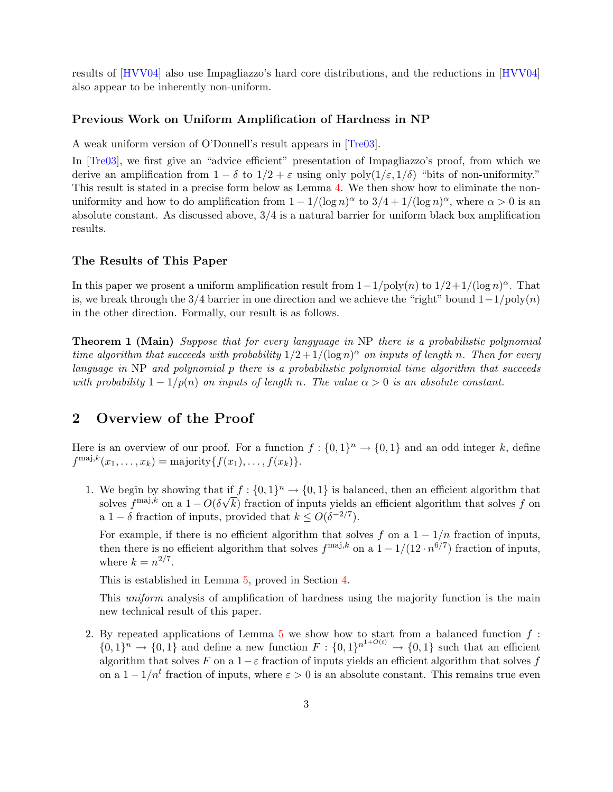<span id="page-2-1"></span>results of [\[HVV04\]](#page-10-2) also use Impagliazzo's hard core distributions, and the reductions in [\[HVV04\]](#page-10-2) also appear to be inherently non-uniform.

### Previous Work on Uniform Amplification of Hardness in NP

A weak uniform version of O'Donnell's result appears in [\[Tre03\]](#page-11-7).

In [\[Tre03\]](#page-11-7), we first give an "advice efficient" presentation of Impagliazzo's proof, from which we derive an amplification from  $1 - \delta$  to  $1/2 + \varepsilon$  using only poly $(1/\varepsilon, 1/\delta)$  "bits of non-uniformity." This result is stated in a precise form below as Lemma [4.](#page-4-0) We then show how to eliminate the nonuniformity and how to do amplification from  $1 - 1/(\log n)^{\alpha}$  to  $3/4 + 1/(\log n)^{\alpha}$ , where  $\alpha > 0$  is an absolute constant. As discussed above, 3/4 is a natural barrier for uniform black box amplification results.

### The Results of This Paper

In this paper we prosent a uniform amplification result from  $1-1/\text{poly}(n)$  to  $1/2+1/(\log n)^{\alpha}$ . That is, we break through the 3/4 barrier in one direction and we achieve the "right" bound  $1-1/poly(n)$ in the other direction. Formally, our result is as follows.

<span id="page-2-0"></span>**Theorem 1 (Main)** Suppose that for every langyuage in NP there is a probabilistic polynomial time algorithm that succeeds with probability  $1/2 + 1/(\log n)^{\alpha}$  on inputs of length n. Then for every language in NP and polynomial p there is a probabilistic polynomial time algorithm that succeeds with probability  $1 - 1/p(n)$  on inputs of length n. The value  $\alpha > 0$  is an absolute constant.

# 2 Overview of the Proof

Here is an overview of our proof. For a function  $f: \{0,1\}^n \to \{0,1\}$  and an odd integer k, define  $f^{\text{maj},k}(x_1,...,x_k) = \text{majority}\{f(x_1),...,f(x_k)\}.$ 

1. We begin by showing that if  $f : \{0,1\}^n \to \{0,1\}$  is balanced, then an efficient algorithm that solves  $f^{\text{maj},k}$  on a  $1 - O(\delta\sqrt{k})$  fraction of inputs yields an efficient algorithm that solves f on a  $1 - \delta$  fraction of inputs, provided that  $k \leq O(\delta^{-2/7})$ .

For example, if there is no efficient algorithm that solves f on a  $1 - 1/n$  fraction of inputs, then there is no efficient algorithm that solves  $f^{\text{maj},k}$  on a  $1 - 1/(12 \cdot n^{6/7})$  fraction of inputs, where  $k = n^{2/7}$ .

This is established in Lemma [5,](#page-4-1) proved in Section [4.](#page-4-2)

This uniform analysis of amplification of hardness using the majority function is the main new technical result of this paper.

2. By repeated applications of Lemma  $5$  we show how to start from a balanced function  $f$ :  $\{0,1\}^n \to \{0,1\}$  and define a new function  $F: \{0,1\}^{n^{1+O(t)}} \to \{0,1\}$  such that an efficient algorithm that solves F on a  $1-\varepsilon$  fraction of inputs yields an efficient algorithm that solves f on a  $1 - 1/n^t$  fraction of inputs, where  $\varepsilon > 0$  is an absolute constant. This remains true even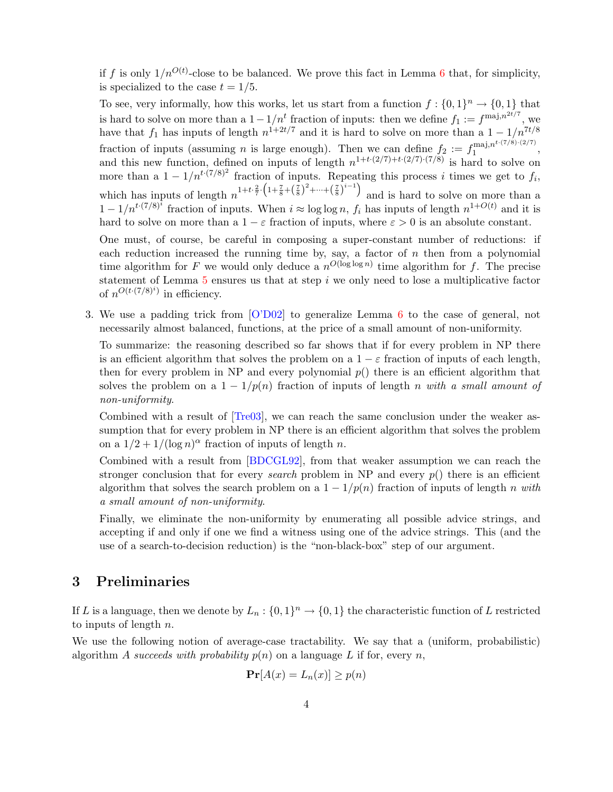<span id="page-3-1"></span>if f is only  $1/n^{O(t)}$ -close to be balanced. We prove this fact in Lemma [6](#page-6-0) that, for simplicity, is specialized to the case  $t = 1/5$ .

To see, very informally, how this works, let us start from a function  $f: \{0,1\}^n \to \{0,1\}$  that is hard to solve on more than a  $1-1/n^t$  fraction of inputs: then we define  $f_1 := f^{\text{maj}, n^{2t/7}}$ , we have that  $f_1$  has inputs of length  $n^{1+2t/7}$  and it is hard to solve on more than a  $1 - 1/n^{7t/8}$ fraction of inputs (assuming *n* is large enough). Then we can define  $f_2 := f_1^{\text{maj},n^{t \cdot (7/8) \cdot (2/7)}}$  $\lim_{1}$ ,  $n^{\circ}$  (1, 0) (2, 1),  $\frac{1}{n}$ , and this new function, defined on inputs of length  $n^{1+t}(2/7)+t^{2/7}(7/8)$  is hard to solve on more than a  $1 - 1/n^{t \cdot (7/8)^2}$  fraction of inputs. Repeating this process i times we get to  $f_i$ , which has inputs of length  $n^{1+t \cdot \frac{2}{7} \cdot \left(1+\frac{7}{8}+\left(\frac{7}{8}\right)^2+\cdots+\left(\frac{7}{8}\right)^{i-1}\right)}$  and is hard to solve on more than a  $1 - 1/n^{t \cdot (7/8)^i}$  fraction of inputs. When  $i \approx \log \log n$ ,  $f_i$  has inputs of length  $n^{1+O(t)}$  and it is hard to solve on more than a  $1 - \varepsilon$  fraction of inputs, where  $\varepsilon > 0$  is an absolute constant.

One must, of course, be careful in composing a super-constant number of reductions: if each reduction increased the running time by, say, a factor of  $n$  then from a polynomial time algorithm for F we would only deduce a  $n^{O(\log \log n)}$  time algorithm for f. The precise statement of Lemma  $5$  ensures us that at step  $i$  we only need to lose a multiplicative factor of  $n^{O(t \cdot (7/8)^i)}$  in efficiency.

3. We use a padding trick from [\[O'D02\]](#page-11-8) to generalize Lemma [6](#page-6-0) to the case of general, not necessarily almost balanced, functions, at the price of a small amount of non-uniformity.

To summarize: the reasoning described so far shows that if for every problem in NP there is an efficient algorithm that solves the problem on a  $1 - \varepsilon$  fraction of inputs of each length, then for every problem in NP and every polynomial  $p()$  there is an efficient algorithm that solves the problem on a  $1 - 1/p(n)$  fraction of inputs of length n with a small amount of non-uniformity.

Combined with a result of [\[Tre03\]](#page-11-7), we can reach the same conclusion under the weaker assumption that for every problem in NP there is an efficient algorithm that solves the problem on a  $1/2 + 1/(\log n)^{\alpha}$  fraction of inputs of length n.

Combined with a result from [\[BDCGL92\]](#page-10-3), from that weaker assumption we can reach the stronger conclusion that for every *search* problem in NP and every  $p()$  there is an efficient algorithm that solves the search problem on a  $1 - 1/p(n)$  fraction of inputs of length n with a small amount of non-uniformity.

Finally, we eliminate the non-uniformity by enumerating all possible advice strings, and accepting if and only if one we find a witness using one of the advice strings. This (and the use of a search-to-decision reduction) is the "non-black-box" step of our argument.

# <span id="page-3-0"></span>3 Preliminaries

If L is a language, then we denote by  $L_n: \{0,1\}^n \to \{0,1\}$  the characteristic function of L restricted to inputs of length n.

We use the following notion of average-case tractability. We say that a (uniform, probabilistic) algorithm A succeeds with probability  $p(n)$  on a language L if for, every n,

$$
\mathbf{Pr}[A(x) = L_n(x)] \ge p(n)
$$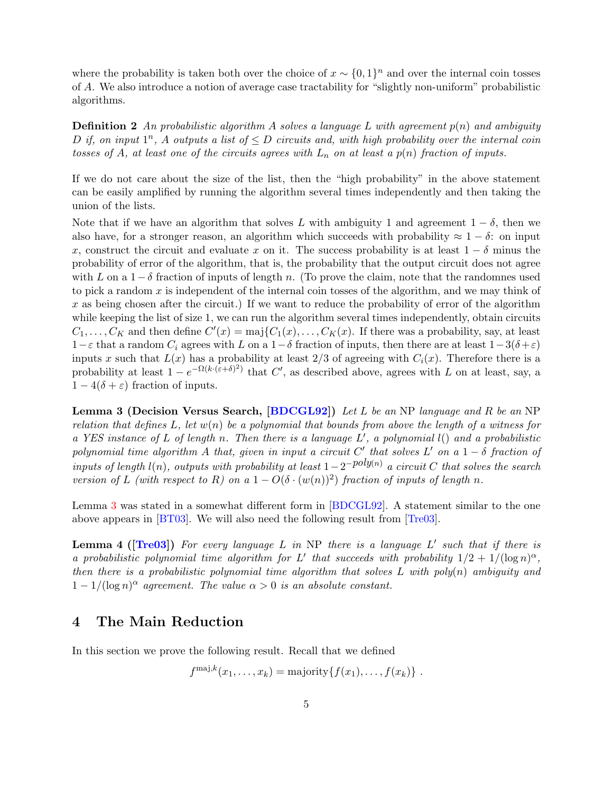<span id="page-4-4"></span>where the probability is taken both over the choice of  $x \sim \{0,1\}^n$  and over the internal coin tosses of A. We also introduce a notion of average case tractability for "slightly non-uniform" probabilistic algorithms.

**Definition 2** An probabilistic algorithm A solves a language L with agreement  $p(n)$  and ambiguity D if, on input  $1^n$ , A outputs a list of  $\leq D$  circuits and, with high probability over the internal coin tosses of A, at least one of the circuits agrees with  $L_n$  on at least a  $p(n)$  fraction of inputs.

If we do not care about the size of the list, then the "high probability" in the above statement can be easily amplified by running the algorithm several times independently and then taking the union of the lists.

Note that if we have an algorithm that solves L with ambiguity 1 and agreement  $1 - \delta$ , then we also have, for a stronger reason, an algorithm which succeeds with probability  $\approx 1 - \delta$ : on input x, construct the circuit and evaluate x on it. The success probability is at least  $1 - \delta$  minus the probability of error of the algorithm, that is, the probability that the output circuit does not agree with L on a  $1-\delta$  fraction of inputs of length n. (To prove the claim, note that the randomnes used to pick a random  $x$  is independent of the internal coin tosses of the algorithm, and we may think of x as being chosen after the circuit.) If we want to reduce the probability of error of the algorithm while keeping the list of size 1, we can run the algorithm several times independently, obtain circuits  $C_1, \ldots, C_K$  and then define  $C'(x) = \text{maj}\{C_1(x), \ldots, C_K(x)$ . If there was a probability, say, at least 1−ε that a random  $C_i$  agrees with L on a 1−δ fraction of inputs, then there are at least 1−3(δ+ε) inputs x such that  $L(x)$  has a probability at least 2/3 of agreeing with  $C_i(x)$ . Therefore there is a probability at least  $1 - e^{-\Omega(k \cdot (\varepsilon + \delta)^2)}$  that C', as described above, agrees with L on at least, say, a  $1 - 4(\delta + \varepsilon)$  fraction of inputs.

<span id="page-4-3"></span>Lemma 3 (Decision Versus Search, [\[BDCGL92\]](#page-10-3)) Let L be an NP language and R be an NP relation that defines L, let  $w(n)$  be a polynomial that bounds from above the length of a witness for a YES instance of L of length n. Then there is a language  $L'$ , a polynomial  $l()$  and a probabilistic polynomial time algorithm A that, given in input a circuit C' that solves L' on a  $1-\delta$  fraction of inputs of length  $l(n)$ , outputs with probability at least  $1-2^{-poly(n)}$  a circuit C that solves the search version of L (with respect to R) on a  $1 - O(\delta \cdot (w(n))^2)$  fraction of inputs of length n.

Lemma [3](#page-4-3) was stated in a somewhat different form in [\[BDCGL92\]](#page-10-3). A statement similar to the one above appears in [\[BT03\]](#page-10-4). We will also need the following result from [\[Tre03\]](#page-11-7).

<span id="page-4-0"></span>**Lemma 4 ([\[Tre03\]](#page-11-7))** For every language L in NP there is a language L' such that if there is a probabilistic polynomial time algorithm for L' that succeeds with probability  $1/2 + 1/(\log n)^{\alpha}$ , then there is a probabilistic polynomial time algorithm that solves  $L$  with poly $(n)$  ambiguity and  $1 - 1/(\log n)^{\alpha}$  agreement. The value  $\alpha > 0$  is an absolute constant.

## <span id="page-4-2"></span>4 The Main Reduction

<span id="page-4-1"></span>In this section we prove the following result. Recall that we defined

$$
f^{\text{maj},k}(x_1,\ldots,x_k) = \text{majority}\{f(x_1),\ldots,f(x_k)\}.
$$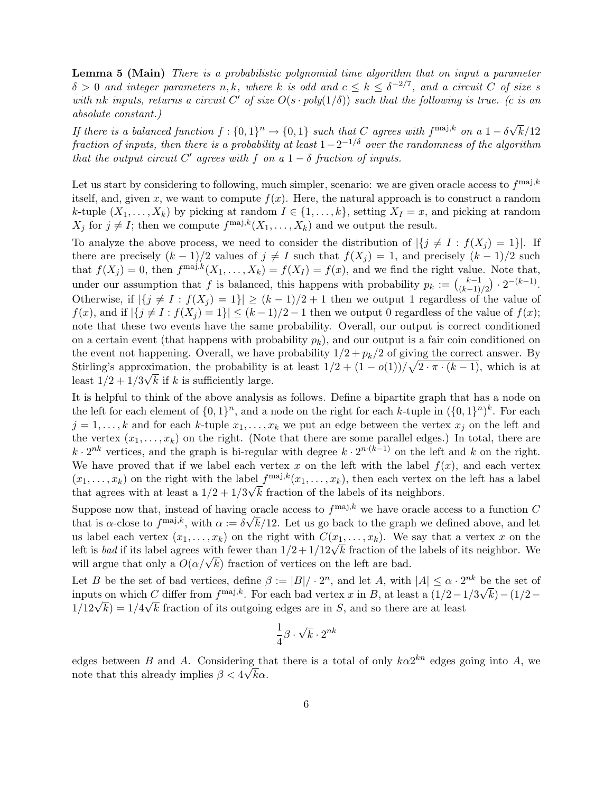Lemma 5 (Main) There is a probabilistic polynomial time algorithm that on input a parameter  $\delta > 0$  and integer parameters n, k, where k is odd and  $c \leq k \leq \delta^{-2/7}$ , and a circuit C of size s with nk inputs, returns a circuit C' of size  $O(s \cdot poly(1/\delta))$  such that the following is true. (c is an absolute constant.)

If there is a balanced function  $f: \{0,1\}^n \to \{0,1\}$  such that C agrees with  $f^{\text{maj},k}$  on a  $1-\delta\sqrt{\frac{2\delta}{n}}$  $k/12$ fraction of inputs, then there is a probability at least  $1-2^{-1/\delta}$  over the randomness of the algorithm that the output circuit C' agrees with f on a  $1 - \delta$  fraction of inputs.

Let us start by considering to following, much simpler, scenario: we are given oracle access to  $f^{\text{maj},k}$ itself, and, given x, we want to compute  $f(x)$ . Here, the natural approach is to construct a random k-tuple  $(X_1, \ldots, X_k)$  by picking at random  $I \in \{1, \ldots, k\}$ , setting  $X_I = x$ , and picking at random  $X_j$  for  $j \neq I$ ; then we compute  $f^{\text{maj},k}(X_1,\ldots,X_k)$  and we output the result.

To analyze the above process, we need to consider the distribution of  $|\{j \neq I : f(X_j) = 1\}|$ . If there are precisely  $(k-1)/2$  values of  $j \neq I$  such that  $f(X_j) = 1$ , and precisely  $(k-1)/2$  such that  $f(X_j) = 0$ , then  $f^{\text{maj},k}(X_1,\ldots,X_k) = f(X_I) = f(x)$ , and we find the right value. Note that, under our assumption that f is balanced, this happens with probability  $p_k := \binom{k-1}{(k-1)}$  $\frac{k-1}{(k-1)/2}$  ·  $2^{-(k-1)}$ . Otherwise, if  $|\{j \neq I : f(X_j) = 1\}| \geq (k-1)/2+1$  then we output 1 regardless of the value of  $f(x)$ , and if  $|\{j \neq I : f(X_j) = 1\}| \leq (k-1)/2 - 1$  then we output 0 regardless of the value of  $f(x)$ ; note that these two events have the same probability. Overall, our output is correct conditioned on a certain event (that happens with probability  $p_k$ ), and our output is a fair coin conditioned on the event not happening. Overall, we have probability  $1/2 + p_k/2$  of giving the correct answer. By Stirling's approximation, the probability is at least  $1/2 + (1 - o(1))/\sqrt{2 \cdot \pi \cdot (k-1)}$ , which is at least  $1/2 + 1/3\sqrt{k}$  if k is sufficiently large.

It is helpful to think of the above analysis as follows. Define a bipartite graph that has a node on the left for each element of  $\{0,1\}^n$ , and a node on the right for each k-tuple in  $(\{0,1\}^n)^k$ . For each  $j = 1, \ldots, k$  and for each k-tuple  $x_1, \ldots, x_k$  we put an edge between the vertex  $x_j$  on the left and the vertex  $(x_1, \ldots, x_k)$  on the right. (Note that there are some parallel edges.) In total, there are  $k \cdot 2^{nk}$  vertices, and the graph is bi-regular with degree  $k \cdot 2^{n \cdot (k-1)}$  on the left and k on the right. We have proved that if we label each vertex x on the left with the label  $f(x)$ , and each vertex  $(x_1, \ldots, x_k)$  on the right with the label  $f^{\text{maj},k}(x_1, \ldots, x_k)$ , then each vertex on the left has a label that agrees with at least a  $1/2 + 1/3\sqrt{k}$  fraction of the labels of its neighbors.

Suppose now that, instead of having oracle access to  $f^{\text{maj},k}$  we have oracle access to a function C that is  $\alpha$ -close to  $f^{\text{maj},k}$ , with  $\alpha := \delta \sqrt{k}/12$ . Let us go back to the graph we defined above, and let us label each vertex  $(x_1, \ldots, x_k)$  on the right with  $C(x_1, \ldots, x_k)$ . We say that a vertex x on the us label each vertex  $(x_1, \ldots, x_k)$  on the right with  $C(x_1, \ldots, x_k)$ . We say that a vertex x on the left is *bad* if its label agrees with fewer than  $1/2 + 1/12\sqrt{k}$  fraction of the labels of its neighbor. We Let us bad if its label agrees with fewer than  $1/2 + 1/12\nabla k$  fraction of the will argue that only a  $O(\alpha/\sqrt{k})$  fraction of vertices on the left are bad.

Let B be the set of bad vertices, define  $\beta := |B| / \cdot 2^n$ , and let A, with  $|A| \leq \alpha \cdot 2^{nk}$  be the set of inputs on which C differ from  $f^{\text{maj},k}$ . For each bad vertex x in B, at least a  $(1/2-1/3\sqrt{k})-(1/2-1/3\sqrt{k})$ n in the solution of the text in B, at least a  $(1/2 - 1/12\sqrt{k}) = 1/4\sqrt{k}$  fraction of its outgoing edges are in S, and so there are at least

$$
\frac{1}{4}\beta\cdot\sqrt{k}\cdot 2^{nk}
$$

edges between B and A. Considering that there is a total of only  $k\alpha 2^{kn}$  edges going into A, we note that this already implies  $\beta < 4\sqrt{k\alpha}$ .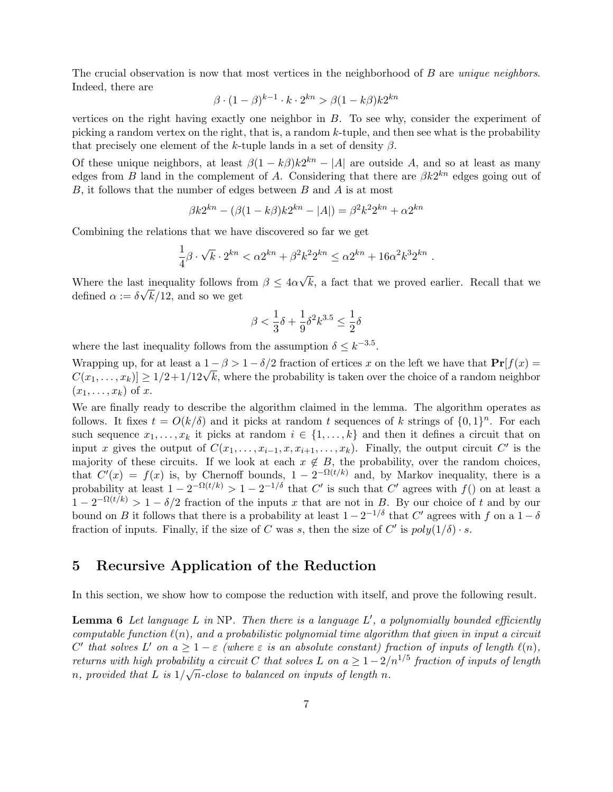The crucial observation is now that most vertices in the neighborhood of B are *unique neighbors*. Indeed, there are

$$
\beta \cdot (1 - \beta)^{k-1} \cdot k \cdot 2^{kn} > \beta (1 - k\beta) k 2^{kn}
$$

vertices on the right having exactly one neighbor in B. To see why, consider the experiment of picking a random vertex on the right, that is, a random  $k$ -tuple, and then see what is the probability that precisely one element of the k-tuple lands in a set of density  $\beta$ .

Of these unique neighbors, at least  $\beta(1 - k\beta)k2^{kn} - |A|$  are outside A, and so at least as many edges from B land in the complement of A. Considering that there are  $\beta k2^{kn}$  edges going out of B, it follows that the number of edges between B and A is at most

$$
\beta k 2^{kn} - (\beta(1 - k\beta)k 2^{kn} - |A|) = \beta^2 k^2 2^{kn} + \alpha 2^{kn}
$$

Combining the relations that we have discovered so far we get

$$
\frac{1}{4}\beta \cdot \sqrt{k} \cdot 2^{kn} < \alpha 2^{kn} + \beta^2 k^2 2^{kn} \leq \alpha 2^{kn} + 16\alpha^2 k^3 2^{kn}
$$

.

Where the last inequality follows from  $\beta \leq 4\alpha$ t inequality follows from  $\beta \leq 4\alpha\sqrt{k}$ , a fact that we proved earlier. Recall that we defined  $\alpha := \delta \sqrt{k/12}$ , and so we get

$$
\beta < \frac{1}{3}\delta + \frac{1}{9}\delta^2 k^{3.5} \le \frac{1}{2}\delta
$$

where the last inequality follows from the assumption  $\delta \leq k^{-3.5}$ .

Wrapping up, for at least a  $1 - \beta > 1 - \delta/2$  fraction of ertices x on the left we have that  $\Pr[f(x)] =$ wrapping up, for at least a  $1 - \rho > 1 - \frac{\sigma}{2}$  fraction of ertices x on the left we have that  $Pr[f(x) = C(x_1, \ldots, x_k)] \geq \frac{1}{2} + \frac{1}{12\sqrt{k}}$ , where the probability is taken over the choice of a random neighbor  $(x_1, \ldots, x_k)$  of x.

We are finally ready to describe the algorithm claimed in the lemma. The algorithm operates as follows. It fixes  $t = O(k/\delta)$  and it picks at random t sequences of k strings of  $\{0, 1\}^n$ . For each such sequence  $x_1, \ldots, x_k$  it picks at random  $i \in \{1, \ldots, k\}$  and then it defines a circuit that on input x gives the output of  $C(x_1, \ldots, x_{i-1}, x, x_{i+1}, \ldots, x_k)$ . Finally, the output circuit  $C'$  is the majority of these circuits. If we look at each  $x \notin B$ , the probability, over the random choices, that  $C'(x) = f(x)$  is, by Chernoff bounds,  $1 - 2^{-\Omega(t/k)}$  and, by Markov inequality, there is a probability at least  $1 - 2^{-\Omega(t/k)} > 1 - 2^{-1/\delta}$  that C' is such that C' agrees with  $f()$  on at least a  $1-2^{-\Omega(t/k)} > 1-\delta/2$  fraction of the inputs x that are not in B. By our choice of t and by our bound on B it follows that there is a probability at least  $1 - 2^{-1/\delta}$  that C' agrees with f on a  $1 - \delta$ fraction of inputs. Finally, if the size of C was s, then the size of C' is  $poly(1/\delta) \cdot s$ .

# <span id="page-6-1"></span>5 Recursive Application of the Reduction

<span id="page-6-0"></span>In this section, we show how to compose the reduction with itself, and prove the following result.

**Lemma 6** Let language L in NP. Then there is a language  $L'$ , a polynomially bounded efficiently computable function  $\ell(n)$ , and a probabilistic polynomial time algorithm that given in input a circuit C' that solves L' on  $a \geq 1 - \varepsilon$  (where  $\varepsilon$  is an absolute constant) fraction of inputs of length  $\ell(n)$ , returns with high probability a circuit C that solves L on  $a \geq 1-2/n^{1/5}$  fraction of inputs of length n, provided that L is  $1/\sqrt{n}$ -close to balanced on inputs of length n.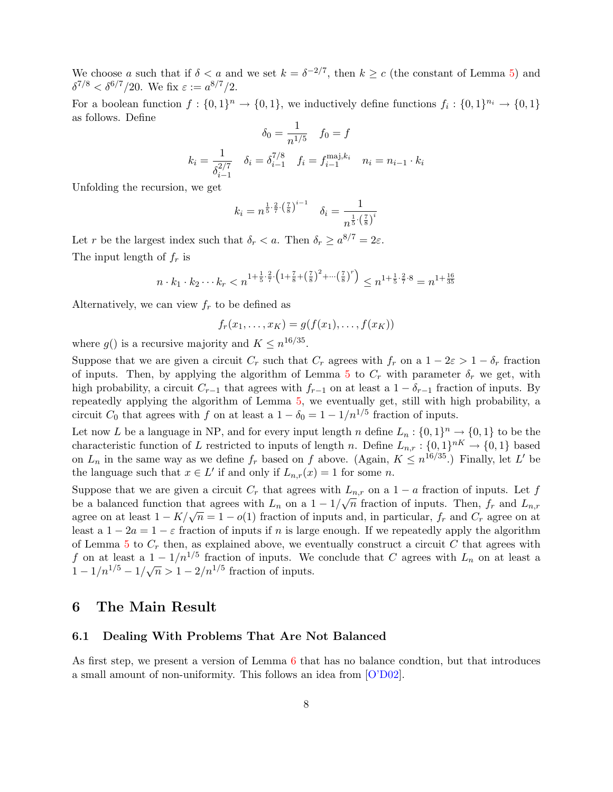<span id="page-7-1"></span>We choose a such that if  $\delta < a$  and we set  $k = \delta^{-2/7}$ , then  $k \geq c$  (the constant of Lemma [5\)](#page-4-1) and  $\delta^{7/8} < \delta^{6/7}/20$ . We fix  $\varepsilon := a^{8/7}/2$ .

For a boolean function  $f: \{0,1\}^n \to \{0,1\}$ , we inductively define functions  $f_i: \{0,1\}^{n_i} \to \{0,1\}$ as follows. Define

$$
\delta_0 = \frac{1}{n^{1/5}} \quad f_0 = f
$$
  

$$
k_i = \frac{1}{\delta_{i-1}^{2/7}} \quad \delta_i = \delta_{i-1}^{7/8} \quad f_i = f_{i-1}^{\text{maj}, k_i} \quad n_i = n_{i-1} \cdot k_i
$$

Unfolding the recursion, we get

$$
k_i = n^{\frac{1}{5} \cdot \frac{2}{7} \cdot \left(\frac{7}{8}\right)^{i-1}} \quad \delta_i = \frac{1}{n^{\frac{1}{5} \cdot \left(\frac{7}{8}\right)^i}}
$$

Let r be the largest index such that  $\delta_r < a$ . Then  $\delta_r \geq a^{8/7} = 2\varepsilon$ . The input length of  $f_r$  is

$$
n \cdot k_1 \cdot k_2 \cdots k_r < n^{1 + \frac{1}{5} \cdot \frac{2}{7} \cdot \left(1 + \frac{7}{8} + \left(\frac{7}{8}\right)^2 + \cdots + \left(\frac{7}{8}\right)^r\right)} \le n^{1 + \frac{1}{5} \cdot \frac{2}{7} \cdot 8} = n^{1 + \frac{16}{35}}
$$

Alternatively, we can view  $f_r$  to be defined as

$$
f_r(x_1,\ldots,x_K)=g(f(x_1),\ldots,f(x_K))
$$

where  $g()$  is a recursive majority and  $K \leq n^{16/35}$ .

Suppose that we are given a circuit  $C_r$  such that  $C_r$  agrees with  $f_r$  on a  $1 - 2\varepsilon > 1 - \delta_r$  fraction of inputs. Then, by applying the algorithm of Lemma [5](#page-4-1) to  $C_r$  with parameter  $\delta_r$  we get, with high probability, a circuit  $C_{r-1}$  that agrees with  $f_{r-1}$  on at least a  $1 - \delta_{r-1}$  fraction of inputs. By repeatedly applying the algorithm of Lemma [5,](#page-4-1) we eventually get, still with high probability, a circuit  $C_0$  that agrees with f on at least a  $1 - \delta_0 = 1 - 1/n^{1/5}$  fraction of inputs.

Let now L be a language in NP, and for every input length n define  $L_n: \{0,1\}^n \to \{0,1\}$  to be the characteristic function of L restricted to inputs of length n. Define  $L_{n,r}: \{0,1\}^{nK} \to \{0,1\}$  based on  $L_n$  in the same way as we define  $f_r$  based on f above. (Again,  $K \leq n^{16/35}$ .) Finally, let L' be the language such that  $x \in L'$  if and only if  $L_{n,r}(x) = 1$  for some n.

Suppose that we are given a circuit  $C_r$  that agrees with  $L_{n,r}$  on a  $1-a$  fraction of inputs. Let f be a balanced function that agrees with  $L_n$  on a  $1 - 1/\sqrt{n}$  fraction of inputs. Then,  $f_r$  and  $L_{n,r}$ be a balanced function that agrees with  $L_n$  on a  $1 - 1/\sqrt{n}$  fraction of inputs. Then,  $f_r$  and  $L_{n,r}$  agree on at least  $1 - K/\sqrt{n} = 1 - o(1)$  fraction of inputs and, in particular,  $f_r$  and  $C_r$  agree on at least a  $1 - 2a = 1 - \varepsilon$  fraction of inputs if n is large enough. If we repeatedly apply the algorithm of Lemma  $5$  to  $C_r$  then, as explained above, we eventually construct a circuit  $C$  that agrees with f on at least a  $1 - 1/n^{1/5}$  fraction of inputs. We conclude that C agrees with  $L_n$  on at least a f on at least a  $1 - 1/n^{\gamma}$  had ton of inputs. We<br>  $1 - 1/n^{1/5} - 1/\sqrt{n} > 1 - 2/n^{1/5}$  fraction of inputs.

## 6 The Main Result

### 6.1 Dealing With Problems That Are Not Balanced

<span id="page-7-0"></span>As first step, we present a version of Lemma [6](#page-6-0) that has no balance condtion, but that introduces a small amount of non-uniformity. This follows an idea from [\[O'D02\]](#page-11-8).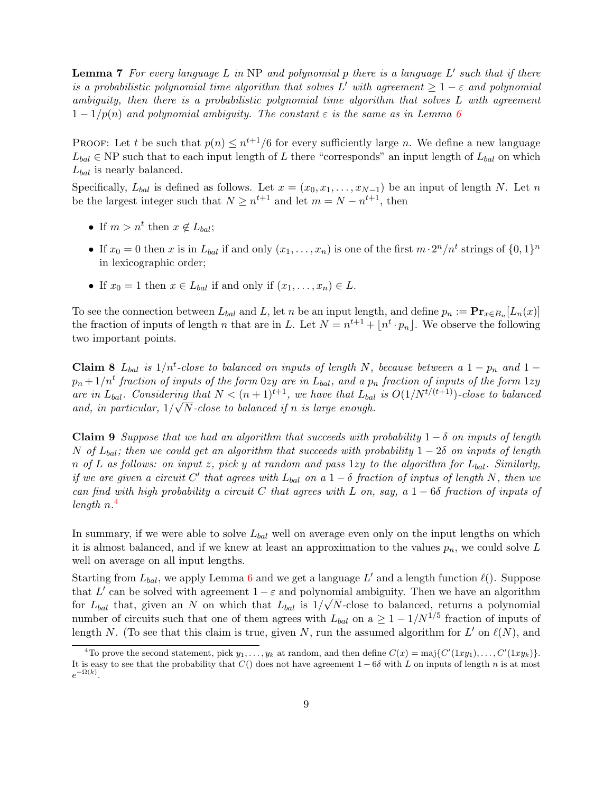**Lemma 7** For every language L in NP and polynomial p there is a language L' such that if there is a probabilistic polynomial time algorithm that solves L' with agreement  $\geq 1 - \varepsilon$  and polynomial ambiguity, then there is a probabilistic polynomial time algorithm that solves L with agreement  $1 - 1/p(n)$  and polynomial ambiguity. The constant  $\varepsilon$  is the same as in Lemma [6](#page-6-0)

PROOF: Let t be such that  $p(n) \leq n^{t+1}/6$  for every sufficiently large n. We define a new language  $L_{bal} \in NP$  such that to each input length of L there "corresponds" an input length of  $L_{bal}$  on which  $L_{bal}$  is nearly balanced.

Specifically,  $L_{bal}$  is defined as follows. Let  $x = (x_0, x_1, \ldots, x_{N-1})$  be an input of length N. Let n be the largest integer such that  $N \geq n^{t+1}$  and let  $m = N - n^{t+1}$ , then

- If  $m > n^t$  then  $x \notin L_{bal}$ ;
- If  $x_0 = 0$  then x is in  $L_{bal}$  if and only  $(x_1, \ldots, x_n)$  is one of the first  $m \cdot 2^n/n^t$  strings of  $\{0, 1\}^n$ in lexicographic order;
- If  $x_0 = 1$  then  $x \in L_{bal}$  if and only if  $(x_1, \ldots, x_n) \in L$ .

To see the connection between  $L_{bal}$  and L, let n be an input length, and define  $p_n := \mathbf{Pr}_{x \in B_n}[L_n(x)]$ the fraction of inputs of length n that are in L. Let  $N = n^{t+1} + \lfloor n^t \cdot p_n \rfloor$ . We observe the following two important points.

**Claim 8**  $L_{bal}$  is  $1/n<sup>t</sup>$ -close to balanced on inputs of length N, because between a  $1 - p_n$  and  $1 - p_n$  $p_n+1/n^t$  fraction of inputs of the form  $0zy$  are in  $L_{bal}$ , and a  $p_n$  fraction of inputs of the form  $1zy$ are in  $L_{bal}$ . Considering that  $N < (n+1)^{t+1}$ , we have that  $L_{bal}$  is  $O(1/N^{t/(t+1)})$ -close to balanced and, in particular,  $1/\sqrt{N}$ -close to balanced if n is large enough.

<span id="page-8-1"></span>Claim 9 Suppose that we had an algorithm that succeeds with probability  $1 - \delta$  on inputs of length N of  $L_{bal}$ ; then we could get an algorithm that succeeds with probability  $1-2\delta$  on inputs of length n of L as follows: on input z, pick y at random and pass  $1zy$  to the algorithm for  $L_{bal}$ . Similarly, if we are given a circuit C' that agrees with  $L_{bal}$  on a  $1-\delta$  fraction of inptus of length N, then we can find with high probability a circuit C that agrees with L on, say, a  $1-6\delta$  fraction of inputs of  $length n<sup>4</sup>$  $length n<sup>4</sup>$  $length n<sup>4</sup>$ 

In summary, if we were able to solve  $L_{bal}$  well on average even only on the input lengths on which it is almost balanced, and if we knew at least an approximation to the values  $p_n$ , we could solve L well on average on all input lengths.

Starting from  $L_{bal}$ , we apply Lemma [6](#page-6-0) and we get a language  $L'$  and a length function  $\ell()$ . Suppose that L' can be solved with agreement  $1 - \varepsilon$  and polynomial ambiguity. Then we have an algorithm for  $L_{bal}$  that, given an N on which that  $L_{bal}$  is  $1/\sqrt{N}$ -close to balanced, returns a polynomial number of circuits such that one of them agrees with  $L_{bal}$  on a  $\geq 1 - 1/N^{1/5}$  fraction of inputs of length N. (To see that this claim is true, given N, run the assumed algorithm for  $L'$  on  $\ell(N)$ , and

<span id="page-8-0"></span><sup>&</sup>lt;sup>4</sup>To prove the second statement, pick  $y_1, \ldots, y_k$  at random, and then define  $C(x) = \text{maj}\{C'(1xy_1), \ldots, C'(1xy_k)\}.$ It is easy to see that the probability that  $C()$  does not have agreement  $1 - 6\delta$  with L on inputs of length n is at most  $e^{-\Omega(k)}$ .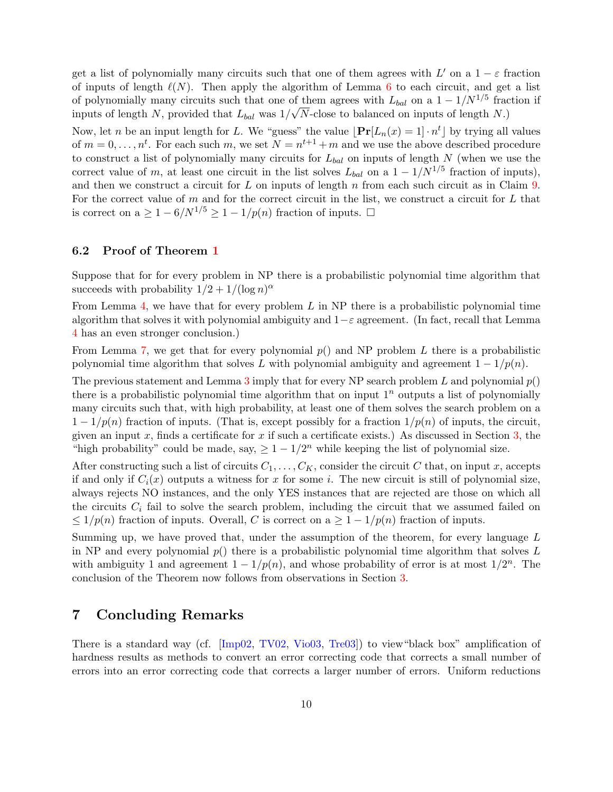<span id="page-9-0"></span>get a list of polynomially many circuits such that one of them agrees with  $L'$  on a  $1-\varepsilon$  fraction of inputs of length  $\ell(N)$ . Then apply the algorithm of Lemma [6](#page-6-0) to each circuit, and get a list of polynomially many circuits such that one of them agrees with  $L_{bal}$  on a  $1 - 1/N^{1/5}$  fraction if inputs of length N, provided that  $L_{bal}$  was  $1/\sqrt{N}$ -close to balanced on inputs of length N.)

Now, let n be an input length for L. We "guess" the value  $\lfloor \Pr[L_n(x) = 1] \cdot n^t \rfloor$  by trying all values of  $m = 0, \ldots, n^t$ . For each such m, we set  $N = n^{t+1} + m$  and we use the above described procedure to construct a list of polynomially many circuits for  $L_{bal}$  on inputs of length  $N$  (when we use the correct value of m, at least one circuit in the list solves  $L_{bal}$  on a  $1 - 1/N^{1/5}$  fraction of inputs), and then we construct a circuit for  $L$  on inputs of length  $n$  from each such circuit as in Claim [9.](#page-8-1) For the correct value of m and for the correct circuit in the list, we construct a circuit for L that is correct on a ≥  $1 - 6/N^{1/5}$  ≥  $1 - 1/p(n)$  fraction of inputs.  $\Box$ 

#### 6.2 Proof of Theorem [1](#page-2-0)

Suppose that for for every problem in NP there is a probabilistic polynomial time algorithm that succeeds with probability  $1/2 + 1/(\log n)^{\alpha}$ 

From Lemma [4,](#page-4-0) we have that for every problem  $L$  in NP there is a probabilistic polynomial time algorithm that solves it with polynomial ambiguity and  $1-\varepsilon$  agreement. (In fact, recall that Lemma [4](#page-4-0) has an even stronger conclusion.)

From Lemma [7,](#page-7-0) we get that for every polynomial  $p()$  and NP problem L there is a probabilistic polynomial time algorithm that solves L with polynomial ambiguity and agreement  $1 - 1/p(n)$ .

The previous statement and Lemma [3](#page-4-3) imply that for every NP search problem L and polynomial  $p()$ there is a probabilistic polynomial time algorithm that on input  $1^n$  outputs a list of polynomially many circuits such that, with high probability, at least one of them solves the search problem on a  $1 - 1/p(n)$  fraction of inputs. (That is, except possibly for a fraction  $1/p(n)$  of inputs, the circuit, given an input x, finds a certificate for x if such a certificate exists.) As discussed in Section [3,](#page-3-0) the "high probability" could be made, say,  $\geq 1 - 1/2^n$  while keeping the list of polynomial size.

After constructing such a list of circuits  $C_1, \ldots, C_K$ , consider the circuit C that, on input x, accepts if and only if  $C_i(x)$  outputs a witness for x for some i. The new circuit is still of polynomial size, always rejects NO instances, and the only YES instances that are rejected are those on which all the circuits  $C_i$  fail to solve the search problem, including the circuit that we assumed failed on  $\leq 1/p(n)$  fraction of inputs. Overall, C is correct on a  $\geq 1-1/p(n)$  fraction of inputs.

Summing up, we have proved that, under the assumption of the theorem, for every language L in NP and every polynomial  $p()$  there is a probabilistic polynomial time algorithm that solves L with ambiguity 1 and agreement  $1 - 1/p(n)$ , and whose probability of error is at most  $1/2^n$ . The conclusion of the Theorem now follows from observations in Section [3.](#page-3-0)

# 7 Concluding Remarks

There is a standard way (cf. [\[Imp02,](#page-11-4) [TV02,](#page-11-5) [Vio03,](#page-11-6) [Tre03\]](#page-11-7)) to view"black box" amplification of hardness results as methods to convert an error correcting code that corrects a small number of errors into an error correcting code that corrects a larger number of errors. Uniform reductions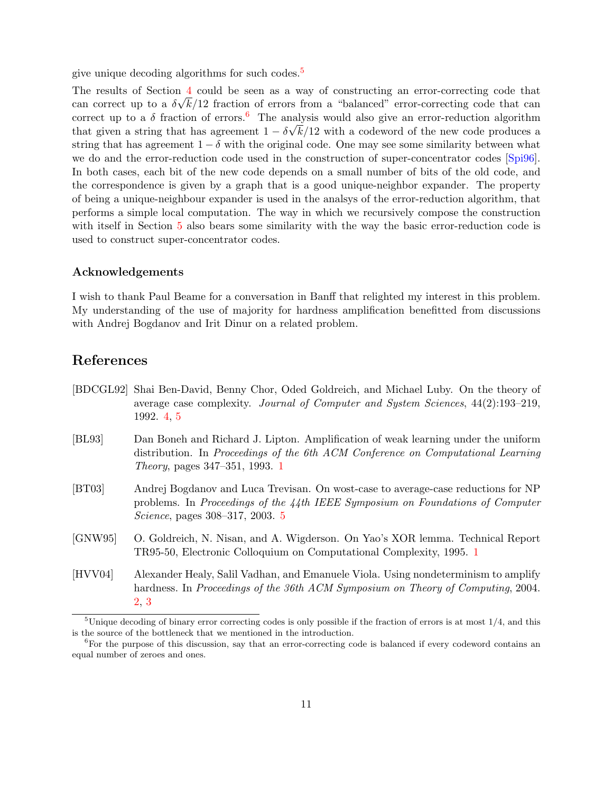<span id="page-10-7"></span>give unique decoding algorithms for such codes.[5](#page-10-5)

The results of Section  $\frac{4}{5}$  $\frac{4}{5}$  $\frac{4}{5}$  could be seen as a way of constructing an error-correcting code that can correct up to a  $\delta \sqrt{k/12}$  fraction of errors from a "balanced" error-correcting code that can correct up to a  $\delta$  fraction of errors.<sup>[6](#page-10-6)</sup> The analysis would also give an error-reduction algorithm that given a string that has agreement  $1 - \delta \sqrt{k/12}$  with a codeword of the new code produces a string that has agreement  $1 - \delta$  with the original code. One may see some similarity between what we do and the error-reduction code used in the construction of super-concentrator codes [\[Spi96\]](#page-11-10). In both cases, each bit of the new code depends on a small number of bits of the old code, and the correspondence is given by a graph that is a good unique-neighbor expander. The property of being a unique-neighbour expander is used in the analsys of the error-reduction algorithm, that performs a simple local computation. The way in which we recursively compose the construction with itself in Section [5](#page-6-1) also bears some similarity with the way the basic error-reduction code is used to construct super-concentrator codes.

### Acknowledgements

I wish to thank Paul Beame for a conversation in Banff that relighted my interest in this problem. My understanding of the use of majority for hardness amplification benefitted from discussions with Andrej Bogdanov and Irit Dinur on a related problem.

## References

- <span id="page-10-3"></span>[BDCGL92] Shai Ben-David, Benny Chor, Oded Goldreich, and Michael Luby. On the theory of average case complexity. Journal of Computer and System Sciences, 44(2):193–219, 1992. [4,](#page-3-1) [5](#page-4-4)
- <span id="page-10-0"></span>[BL93] Dan Boneh and Richard J. Lipton. Amplification of weak learning under the uniform distribution. In Proceedings of the 6th ACM Conference on Computational Learning Theory, pages 347–351, 1993. [1](#page-0-1)
- <span id="page-10-4"></span>[BT03] Andrej Bogdanov and Luca Trevisan. On wost-case to average-case reductions for NP problems. In Proceedings of the 44th IEEE Symposium on Foundations of Computer Science, pages 308–317, 2003. [5](#page-4-4)
- <span id="page-10-1"></span>[GNW95] O. Goldreich, N. Nisan, and A. Wigderson. On Yao's XOR lemma. Technical Report TR95-50, Electronic Colloquium on Computational Complexity, 1995. [1](#page-0-1)
- <span id="page-10-2"></span>[HVV04] Alexander Healy, Salil Vadhan, and Emanuele Viola. Using nondeterminism to amplify hardness. In Proceedings of the 36th ACM Symposium on Theory of Computing, 2004. [2,](#page-1-2) [3](#page-2-1)

<span id="page-10-5"></span><sup>&</sup>lt;sup>5</sup>Unique decoding of binary error correcting codes is only possible if the fraction of errors is at most  $1/4$ , and this is the source of the bottleneck that we mentioned in the introduction.

<span id="page-10-6"></span><sup>&</sup>lt;sup>6</sup>For the purpose of this discussion, say that an error-correcting code is balanced if every codeword contains an equal number of zeroes and ones.